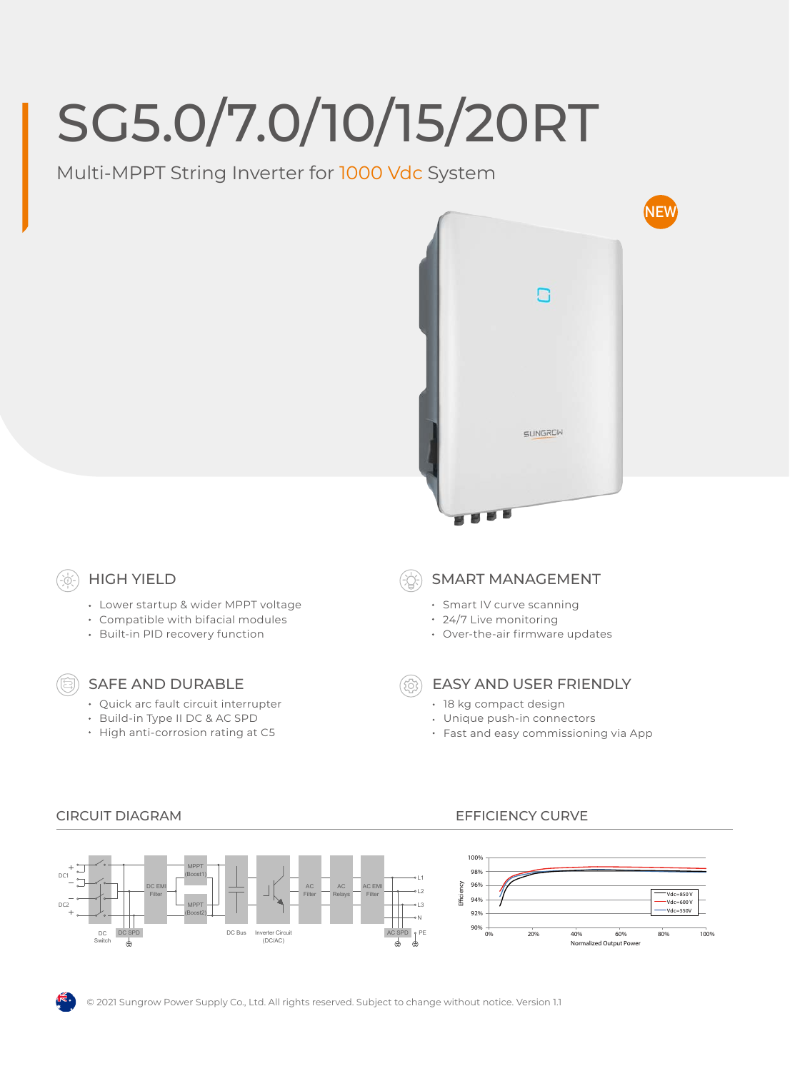# SG5.0/7.0/10/15/20RT

Multi-MPPT String Inverter for 1000 Vdc System



## HIGH YIELD

- Lower startup & wider MPPT voltage
- Compatible with bifacial modules
- Built-in PID recovery function

## SAFE AND DURABLE

- Quick arc fault circuit interrupter
- Build-in Type II DC & AC SPD
- High anti-corrosion rating at C5

#### SMART MANAGEMENT

- Smart IV curve scanning
- 24/7 Live monitoring
- Over-the-air firmware updates

- EASY AND USER FRIENDLY
- 18 kg compact design
- Unique push-in connectors
- Fast and easy commissioning via App



#### CIRCUIT DIAGRAM EFFICIENCY CURVE